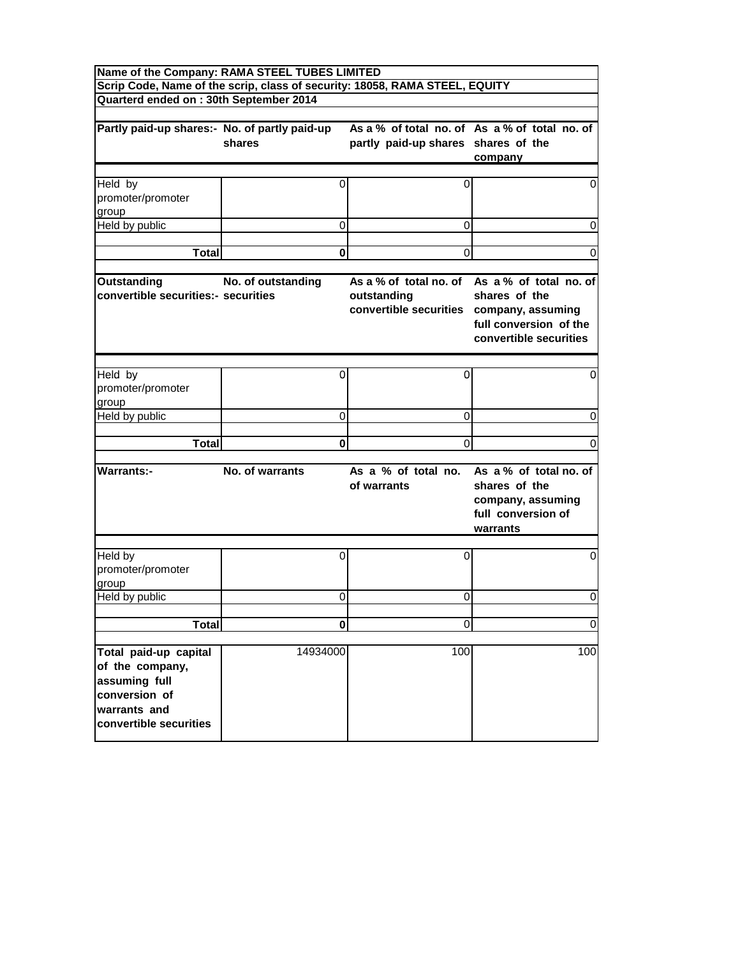| Name of the Company: RAMA STEEL TUBES LIMITED<br>Scrip Code, Name of the scrip, class of security: 18058, RAMA STEEL, EQUITY |                    |                                                                                   |                                                                                                                    |  |  |  |  |  |
|------------------------------------------------------------------------------------------------------------------------------|--------------------|-----------------------------------------------------------------------------------|--------------------------------------------------------------------------------------------------------------------|--|--|--|--|--|
| Quarterd ended on : 30th September 2014                                                                                      |                    |                                                                                   |                                                                                                                    |  |  |  |  |  |
|                                                                                                                              |                    |                                                                                   |                                                                                                                    |  |  |  |  |  |
| Partly paid-up shares:- No. of partly paid-up                                                                                | shares             | partly paid-up shares shares of the                                               | As a % of total no. of As a % of total no. of<br>company                                                           |  |  |  |  |  |
|                                                                                                                              |                    |                                                                                   |                                                                                                                    |  |  |  |  |  |
| Held by<br>promoter/promoter<br>group                                                                                        | 0                  | 0                                                                                 | 0                                                                                                                  |  |  |  |  |  |
| Held by public                                                                                                               | 0                  | 0                                                                                 | 0                                                                                                                  |  |  |  |  |  |
|                                                                                                                              |                    |                                                                                   |                                                                                                                    |  |  |  |  |  |
| <b>Total</b>                                                                                                                 | 0                  | 0                                                                                 | 0                                                                                                                  |  |  |  |  |  |
| <b>Outstanding</b><br>convertible securities:- securities                                                                    | No. of outstanding | As a % of total no, of<br>outstanding<br>convertible securities company, assuming | As a % of total no. of<br>shares of the<br>full conversion of the<br>convertible securities                        |  |  |  |  |  |
| Held by                                                                                                                      |                    | 0                                                                                 |                                                                                                                    |  |  |  |  |  |
| promoter/promoter<br>group                                                                                                   | 0                  |                                                                                   | 0                                                                                                                  |  |  |  |  |  |
| Held by public                                                                                                               | 0                  | 0                                                                                 | 0                                                                                                                  |  |  |  |  |  |
|                                                                                                                              |                    |                                                                                   |                                                                                                                    |  |  |  |  |  |
| <b>Total</b>                                                                                                                 | 0                  | 0                                                                                 | 0                                                                                                                  |  |  |  |  |  |
| <b>Warrants:-</b>                                                                                                            | No. of warrants    | of warrants                                                                       | As a % of total no. As a % of total no. of<br>shares of the<br>company, assuming<br>full conversion of<br>warrants |  |  |  |  |  |
| Held by<br>promoter/promoter<br>group                                                                                        | 0                  | $\Omega$                                                                          | 0                                                                                                                  |  |  |  |  |  |
| Held by public                                                                                                               | 0                  | 0                                                                                 | 0                                                                                                                  |  |  |  |  |  |
|                                                                                                                              |                    |                                                                                   |                                                                                                                    |  |  |  |  |  |
| <b>Total</b>                                                                                                                 | $\mathbf{0}$       | $\Omega$                                                                          | $\mathbf 0$                                                                                                        |  |  |  |  |  |
| Total paid-up capital<br>of the company,<br>assuming full<br>conversion of<br>warrants and<br>convertible securities         | 14934000           | 100                                                                               | 100                                                                                                                |  |  |  |  |  |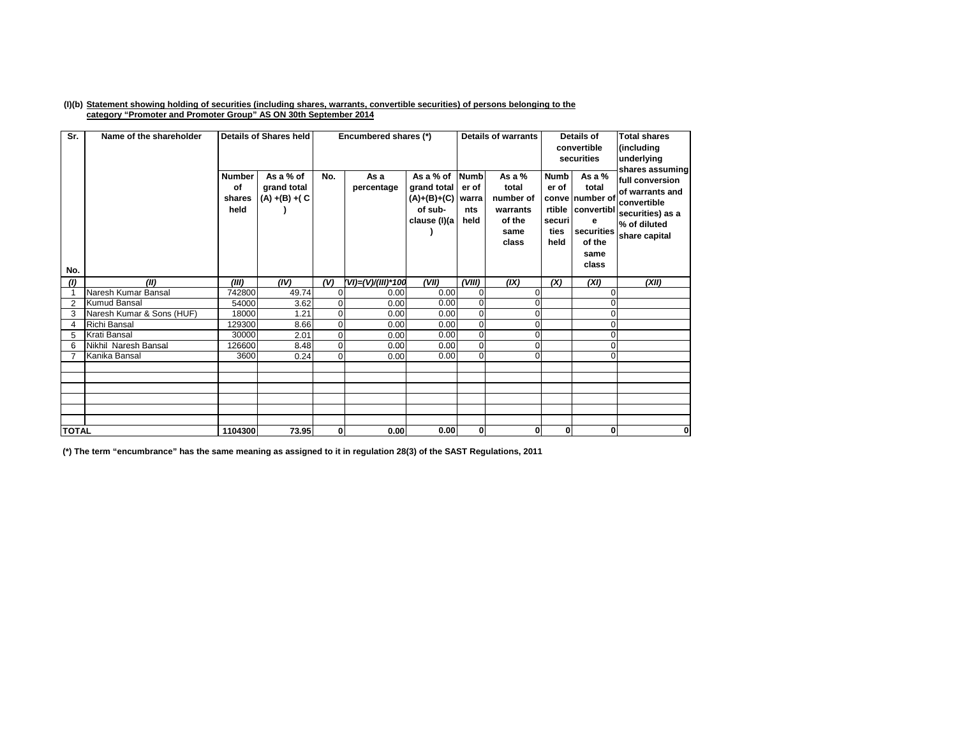## (I)(b) Statement showing holding of securities (including shares, warrants, convertible securities) of persons belonging to the **category "Promoter and Promoter Group" AS ON 30th September 2014**

| Sr.<br>No.     | Name of the shareholder   | <b>Number</b><br>of<br>shares<br>held | <b>Details of Shares held</b><br>As a % of<br>grand total<br>$(A) + (B) + (C)$ | No.            | Encumbered shares (*)<br>As a<br>percentage | As a % of Numb<br>grand total<br>$(A)+(B)+(C)$<br>of sub-<br>clause (I)(a | er of<br>warra<br>nts<br>held | <b>Details of warrants</b><br>As a $%$<br>total<br>number of<br>warrants<br>of the<br>same<br>class | <b>Numb</b><br>er of<br>securi<br>ties<br>held | Details of<br>convertible<br>securities<br>As a %<br>total<br>conve number of<br>rtible convertibl<br>е<br>securities<br>of the<br>same<br>class | <b>Total shares</b><br>(including<br>underlying<br>shares assuming<br>full conversion<br>of warrants and<br>convertible<br>securities) as a<br>% of diluted<br>share capital |
|----------------|---------------------------|---------------------------------------|--------------------------------------------------------------------------------|----------------|---------------------------------------------|---------------------------------------------------------------------------|-------------------------------|-----------------------------------------------------------------------------------------------------|------------------------------------------------|--------------------------------------------------------------------------------------------------------------------------------------------------|------------------------------------------------------------------------------------------------------------------------------------------------------------------------------|
| (1)            | (II)                      | (III)                                 | (IV)                                                                           | (V)            | (VI)=(V)/(III)*100                          | (VII)                                                                     | (VIII)                        | (IX)                                                                                                | (X)                                            | (XI)                                                                                                                                             | (XII)                                                                                                                                                                        |
| $\overline{ }$ | Naresh Kumar Bansal       | 742800                                | 49.74                                                                          | $\overline{0}$ | 0.00                                        | 0.00                                                                      | $\overline{0}$                |                                                                                                     |                                                |                                                                                                                                                  |                                                                                                                                                                              |
| 2              | <b>Kumud Bansal</b>       | 54000                                 | 3.62                                                                           | $\overline{0}$ | 0.00                                        | 0.00                                                                      | $\overline{0}$                |                                                                                                     |                                                |                                                                                                                                                  |                                                                                                                                                                              |
| 3              | Naresh Kumar & Sons (HUF) | 18000                                 | 1.21                                                                           | $\overline{0}$ | 0.00                                        | 0.00                                                                      | $\mathbf 0$                   |                                                                                                     |                                                | O                                                                                                                                                |                                                                                                                                                                              |
| 4              | <b>Richi Bansal</b>       | 129300                                | 8.66                                                                           | $\Omega$       | 0.00                                        | 0.00                                                                      | $\overline{0}$                |                                                                                                     |                                                |                                                                                                                                                  |                                                                                                                                                                              |
| 5              | Krati Bansal              | 30000                                 | 2.01                                                                           | $\overline{0}$ | 0.00                                        | 0.00                                                                      | $\mathbf{0}$                  |                                                                                                     |                                                | O                                                                                                                                                |                                                                                                                                                                              |
| 6              | Nikhil Naresh Bansal      | 126600                                | 8.48                                                                           | $\Omega$       | 0.00                                        | 0.00                                                                      | $\Omega$                      |                                                                                                     |                                                | Ω                                                                                                                                                |                                                                                                                                                                              |
|                | Kanika Bansal             | 3600                                  | 0.24                                                                           | $\Omega$       | 0.00                                        | 0.00                                                                      | $\Omega$                      |                                                                                                     |                                                | $\Omega$                                                                                                                                         |                                                                                                                                                                              |
|                |                           |                                       |                                                                                |                |                                             |                                                                           |                               |                                                                                                     |                                                |                                                                                                                                                  |                                                                                                                                                                              |
|                |                           |                                       |                                                                                |                |                                             |                                                                           |                               |                                                                                                     |                                                |                                                                                                                                                  |                                                                                                                                                                              |
|                |                           |                                       |                                                                                |                |                                             |                                                                           |                               |                                                                                                     |                                                |                                                                                                                                                  |                                                                                                                                                                              |
|                |                           |                                       |                                                                                |                |                                             |                                                                           |                               |                                                                                                     |                                                |                                                                                                                                                  |                                                                                                                                                                              |
|                |                           |                                       |                                                                                |                |                                             |                                                                           |                               |                                                                                                     |                                                |                                                                                                                                                  |                                                                                                                                                                              |
| <b>TOTAL</b>   |                           | 1104300                               | 73.95                                                                          | 0              | 0.00                                        | 0.00                                                                      | $\mathbf{0}$                  | $\bf{0}$                                                                                            | $\mathbf{0}$                                   | 0                                                                                                                                                | 0                                                                                                                                                                            |

(\*) The term "encumbrance" has the same meaning as assigned to it in regulation 28(3) of the SAST Regulations, 2011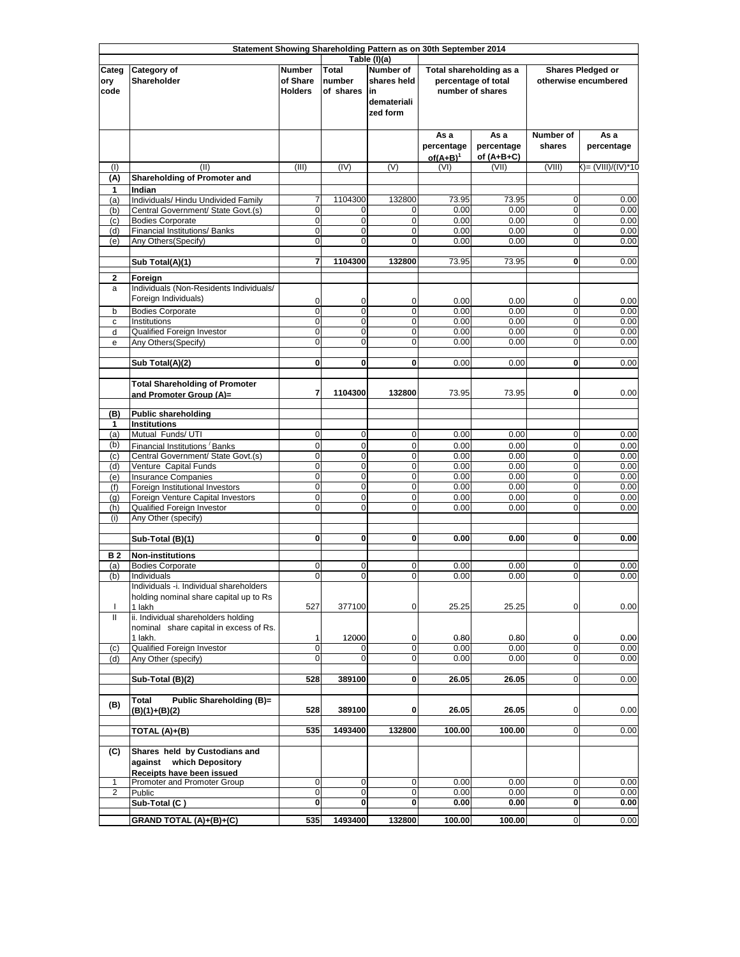|                         |                                                                                        |                                             |                                     |                                                                                   | Statement Showing Shareholding Pattern as on 30th September 2014   |                                    |                                                  |                    |
|-------------------------|----------------------------------------------------------------------------------------|---------------------------------------------|-------------------------------------|-----------------------------------------------------------------------------------|--------------------------------------------------------------------|------------------------------------|--------------------------------------------------|--------------------|
| Categ<br>ory<br>code    | Category of<br>Shareholder                                                             | <b>Number</b><br>of Share<br><b>Holders</b> | <b>Total</b><br>number<br>of shares | Table (I)(a)<br><b>Number of</b><br>shares held<br>lin<br>demateriali<br>zed form | Total shareholding as a<br>percentage of total<br>number of shares |                                    | <b>Shares Pledged or</b><br>otherwise encumbered |                    |
|                         |                                                                                        |                                             |                                     |                                                                                   | As a<br>percentage<br>$of(A+B)^1$                                  | As a<br>percentage<br>of $(A+B+C)$ | Number of<br>shares                              | As a<br>percentage |
| (1)                     | (II)                                                                                   | (III)                                       | (IV)                                | (V)                                                                               | (VI)                                                               | (VII)                              | (VIII)                                           | ()= (VIII)/(IV)*10 |
| (A)<br>1                | <b>Shareholding of Promoter and</b><br>Indian                                          |                                             |                                     |                                                                                   |                                                                    |                                    |                                                  |                    |
| (a)                     | Individuals/ Hindu Undivided Family                                                    | 7                                           | 1104300                             | 132800                                                                            | 73.95                                                              | 73.95                              | 0                                                | 0.00               |
| (b)<br>(c)              | Central Government/ State Govt.(s)<br><b>Bodies Corporate</b>                          | 0<br>$\mathbf 0$                            | 0<br>$\mathbf 0$                    | 0<br>0                                                                            | 0.00<br>0.00                                                       | 0.00<br>0.00                       | 0<br>$\mathbf 0$                                 | 0.00<br>0.00       |
| (d)                     | Financial Institutions/ Banks                                                          | $\overline{0}$                              | $\mathbf 0$                         | $\mathbf 0$                                                                       | 0.00                                                               | 0.00                               | $\mathbf 0$                                      | 0.00               |
| (e)                     | Any Others(Specify)                                                                    | 0                                           | $\mathbf 0$                         | $\mathbf 0$                                                                       | 0.00                                                               | 0.00                               | $\mathbf 0$                                      | 0.00               |
|                         | Sub Total(A)(1)                                                                        | 7                                           | 1104300                             | 132800                                                                            | 73.95                                                              | 73.95                              | $\mathbf 0$                                      | 0.00               |
|                         | Foreign                                                                                |                                             |                                     |                                                                                   |                                                                    |                                    |                                                  |                    |
| $\mathbf{2}$<br>a       | Individuals (Non-Residents Individuals/<br>Foreign Individuals)                        | 0                                           | 0                                   | 0                                                                                 | 0.00                                                               | 0.00                               | 0                                                | 0.00               |
| b                       | <b>Bodies Corporate</b><br>Institutions                                                | 0<br>$\mathbf 0$                            | $\overline{0}$<br>$\mathbf 0$       | $\mathbf 0$<br>$\mathbf 0$                                                        | 0.00<br>0.00                                                       | 0.00<br>0.00                       | $\mathbf 0$<br>$\mathbf 0$                       | 0.00<br>0.00       |
| c<br>d                  | Qualified Foreign Investor                                                             | $\mathbf 0$                                 | $\mathbf 0$                         | $\mathbf 0$                                                                       | 0.00                                                               | 0.00                               | $\mathbf 0$                                      | 0.00               |
| e                       | Any Others (Specify)                                                                   | $\mathbf 0$                                 | $\mathbf 0$                         | 0                                                                                 | 0.00                                                               | 0.00                               | $\mathbf 0$                                      | 0.00               |
|                         |                                                                                        | $\mathbf{0}$                                | 0                                   | 0                                                                                 | 0.00                                                               | 0.00                               | 0                                                | 0.00               |
|                         | Sub Total(A)(2)                                                                        |                                             |                                     |                                                                                   |                                                                    |                                    |                                                  |                    |
|                         | <b>Total Shareholding of Promoter</b><br>and Promoter Group (A)=                       | 7                                           | 1104300                             | 132800                                                                            | 73.95                                                              | 73.95                              | 0                                                | 0.00               |
| (B)                     | <b>Public shareholding</b>                                                             |                                             |                                     |                                                                                   |                                                                    |                                    |                                                  |                    |
| 1<br>(a)                | <b>Institutions</b><br>Mutual Funds/ UTI                                               | $\mathbf 0$                                 | $\mathbf 0$                         | $\mathbf 0$                                                                       | 0.00                                                               | 0.00                               | $\mathbf 0$                                      | 0.00               |
| (b)                     | Financial Institutions Banks                                                           | $\mathbf 0$                                 | $\mathbf 0$                         | $\mathbf 0$                                                                       | 0.00                                                               | 0.00                               | $\mathbf 0$                                      | 0.00               |
| (c)                     | Central Government/ State Govt.(s)                                                     | $\mathbf 0$                                 | $\mathbf 0$                         | 0                                                                                 | 0.00                                                               | 0.00                               | $\mathbf 0$                                      | 0.00               |
| (d)                     | Venture Capital Funds                                                                  | $\mathbf 0$<br>O                            | $\mathbf 0$<br>$\mathbf 0$          | $\mathbf 0$<br>$\mathbf 0$                                                        | 0.00<br>0.00                                                       | 0.00<br>0.00                       | $\mathbf 0$<br>$\mathbf 0$                       | 0.00<br>0.00       |
| (e)<br>(f)              | <b>Insurance Companies</b><br>Foreign Institutional Investors                          | O                                           | $\pmb{0}$                           | 0                                                                                 | 0.00                                                               | 0.00                               | $\mathbf 0$                                      | 0.00               |
| (g)                     | Foreign Venture Capital Investors                                                      | O                                           | $\mathbf 0$                         | $\mathbf 0$                                                                       | 0.00                                                               | 0.00                               | $\mathbf 0$                                      | 0.00               |
| (h)<br>(i)              | Qualified Foreign Investor<br>Any Other (specify)                                      | $\overline{0}$                              | $\mathbf 0$                         | $\mathbf 0$                                                                       | 0.00                                                               | 0.00                               | $\mathbf 0$                                      | 0.00               |
|                         | Sub-Total (B)(1)                                                                       | $\mathbf 0$                                 | 0                                   | 0                                                                                 | 0.00                                                               | 0.00                               | 0                                                | 0.00               |
| <b>B2</b>               | <b>Non-institutions</b>                                                                |                                             |                                     |                                                                                   |                                                                    |                                    |                                                  |                    |
| (a)                     | <b>Bodies Corporate</b>                                                                | $\mathbf 0$                                 | 0                                   | 0                                                                                 | 0.00                                                               | 0.00                               | 0                                                | 0.00               |
| (b)                     | Individuals<br>Individuals -i. Individual shareholders                                 | $\overline{0}$                              | 0                                   | 0                                                                                 | 0.00                                                               | 0.00                               | 0                                                | 0.00               |
|                         | holding nominal share capital up to Rs                                                 |                                             |                                     |                                                                                   |                                                                    |                                    |                                                  |                    |
| I.                      | 1 lakh                                                                                 | 527                                         | 377100                              | 0                                                                                 | 25.25                                                              | 25.25                              | $\mathbf 0$                                      | 0.00               |
| Ш                       | ii. Individual shareholders holding<br>nominal share capital in excess of Rs.          |                                             |                                     |                                                                                   |                                                                    |                                    |                                                  |                    |
|                         | 1 lakh.                                                                                | 1                                           | 12000                               | 0                                                                                 | 0.80                                                               | 0.80                               | 0                                                | 0.00               |
| (c)                     | Qualified Foreign Investor                                                             | $\mathbf 0$                                 |                                     | 0                                                                                 | 0.00                                                               | 0.00                               | $\mathbf 0$                                      | 0.00               |
| (d)                     | Any Other (specify)                                                                    | 0                                           | 0                                   | 0                                                                                 | 0.00                                                               | 0.00                               | 0                                                | 0.00               |
|                         | Sub-Total (B)(2)                                                                       | 528                                         | 389100                              | 0                                                                                 | 26.05                                                              | 26.05                              | $\mathbf 0$                                      | 0.00               |
| (B)                     | Public Shareholding (B)=<br><b>Total</b><br>$(B)(1)+(B)(2)$                            | 528                                         | 389100                              | 0                                                                                 | 26.05                                                              | 26.05                              | 0                                                | 0.00               |
|                         | TOTAL (A)+(B)                                                                          | 535                                         | 1493400                             | 132800                                                                            | 100.00                                                             | 100.00                             | $\overline{0}$                                   | 0.00               |
| (C)                     | Shares held by Custodians and<br>against which Depository<br>Receipts have been issued |                                             |                                     |                                                                                   |                                                                    |                                    |                                                  |                    |
| 1                       | Promoter and Promoter Group                                                            | $\mathbf 0$                                 | $\mathbf 0$                         | 0                                                                                 | 0.00                                                               | 0.00                               | $\mathbf 0$                                      | 0.00               |
| $\overline{\mathbf{c}}$ | Public<br>Sub-Total (C)                                                                | $\mathbf 0$<br>0                            | 0<br>0                              | 0<br>0                                                                            | 0.00<br>0.00                                                       | 0.00<br>0.00                       | 0<br>$\mathbf 0$                                 | 0.00<br>0.00       |
|                         | GRAND TOTAL (A)+(B)+(C)                                                                | 535                                         | 1493400                             | 132800                                                                            | 100.00                                                             | 100.00                             | $\mathbf 0$                                      | 0.00               |
|                         |                                                                                        |                                             |                                     |                                                                                   |                                                                    |                                    |                                                  |                    |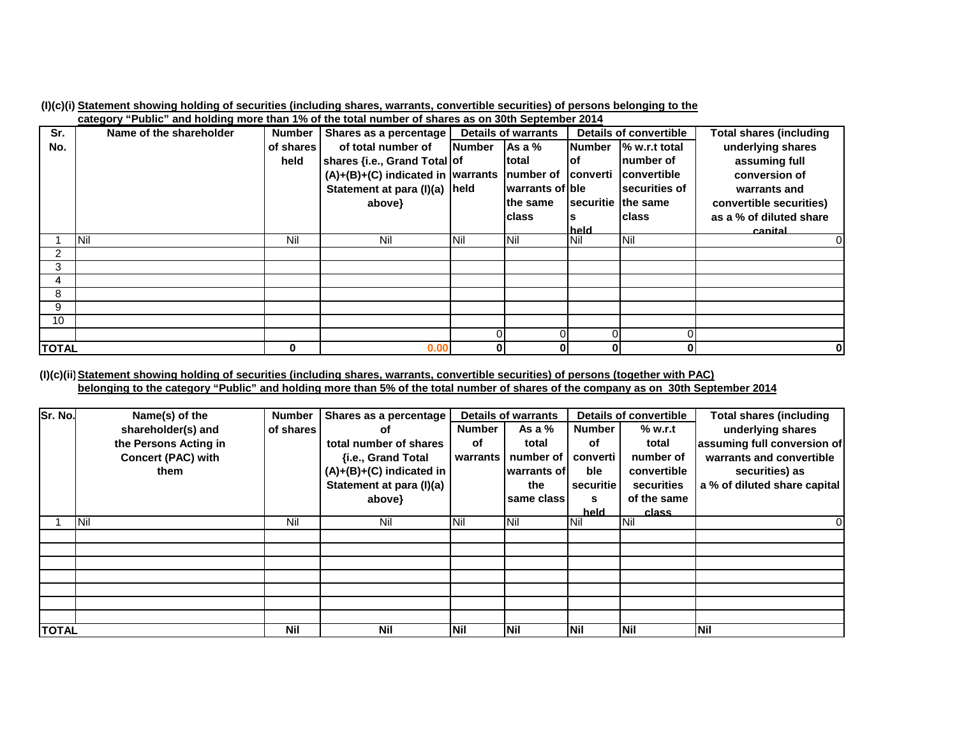|              | calcycle rubile, and notality more than 170 or the total number of shares as on Julii September Zul 4 |           |                                               |                |                            |                             |                        |                                |
|--------------|-------------------------------------------------------------------------------------------------------|-----------|-----------------------------------------------|----------------|----------------------------|-----------------------------|------------------------|--------------------------------|
| Sr.          | Name of the shareholder                                                                               | Number    | Shares as a percentage                        |                | <b>Details of warrants</b> |                             | Details of convertible | <b>Total shares (including</b> |
| No.          |                                                                                                       | of shares | of total number of                            | <b>INumber</b> | As a %                     | <b>Number</b>               | % w.r.t total          | underlying shares              |
|              |                                                                                                       | held      | shares {i.e., Grand Total of                  |                | ltotal                     | lof                         | Inumber of             | assuming full                  |
|              |                                                                                                       |           | $(A)+(B)+(C)$ indicated in warrants number of |                |                            |                             | converti convertible   | conversion of                  |
|              |                                                                                                       |           | Statement at para (I)(a) held                 |                | warrants of ble            |                             | securities of          | warrants and                   |
|              |                                                                                                       |           | above}                                        |                | lthe same                  | <b>Isecuritie</b> Ithe same |                        | convertible securities)        |
|              |                                                                                                       |           |                                               |                | lclass                     |                             | Iclass                 | as a % of diluted share        |
|              |                                                                                                       |           |                                               |                |                            | held                        |                        | canital                        |
|              | <b>Nil</b>                                                                                            | Nil       | Nil                                           | <b>Nil</b>     | Nil                        | Nil                         | Nil                    | O                              |
| 2            |                                                                                                       |           |                                               |                |                            |                             |                        |                                |
| 3            |                                                                                                       |           |                                               |                |                            |                             |                        |                                |
| 4            |                                                                                                       |           |                                               |                |                            |                             |                        |                                |
| 8            |                                                                                                       |           |                                               |                |                            |                             |                        |                                |
| 9            |                                                                                                       |           |                                               |                |                            |                             |                        |                                |
| 10           |                                                                                                       |           |                                               |                |                            |                             |                        |                                |
|              |                                                                                                       |           |                                               |                |                            |                             |                        |                                |
| <b>TOTAL</b> |                                                                                                       | 0         | 0.00                                          | 0              | ŋ                          | Ol                          | 0                      |                                |

(I)(c)(i) Statement showing holding of securities (including shares, warrants, convertible securities) of persons belonging to the **category "Public" and holding more than 1% of the total number of shares as on 30th September 2014**

(I)(c)(ii) Statement showing holding of securities (including shares, warrants, convertible securities) of persons (together with PAC) belonging to the category "Public" and holding more than 5% of the total number of shares of the company as on 30th September 2014

| Sr. No.      | Name(s) of the            | <b>Number</b> | Shares as a percentage   |               | <b>Details of warrants</b> | Details of convertible |             | Total shares (including      |
|--------------|---------------------------|---------------|--------------------------|---------------|----------------------------|------------------------|-------------|------------------------------|
|              | shareholder(s) and        | of shares     | οf                       | <b>Number</b> | As a $%$                   | <b>Number</b>          | % w.r.t     | underlying shares            |
|              | the Persons Acting in     |               | total number of shares   | оf            | total                      | of                     | total       | assuming full conversion of  |
|              | <b>Concert (PAC) with</b> |               | {i.e., Grand Total       | warrants I    | number of                  | converti               | number of   | warrants and convertible     |
|              | them                      |               | (A)+(B)+(C) indicated in |               | warrants of                | ble                    | convertible | securities) as               |
|              |                           |               | Statement at para (I)(a) |               | the                        | securitie              | securities  | a % of diluted share capital |
|              |                           |               | above}                   |               | same class                 | s                      | of the same |                              |
|              |                           |               |                          |               |                            | held                   | class       |                              |
|              | <b>INil</b>               | Nil           | Nil                      | <b>Nil</b>    | <b>Nil</b>                 | Nil                    | Nil         | 0                            |
|              |                           |               |                          |               |                            |                        |             |                              |
|              |                           |               |                          |               |                            |                        |             |                              |
|              |                           |               |                          |               |                            |                        |             |                              |
|              |                           |               |                          |               |                            |                        |             |                              |
|              |                           |               |                          |               |                            |                        |             |                              |
|              |                           |               |                          |               |                            |                        |             |                              |
|              |                           |               |                          |               |                            |                        |             |                              |
| <b>TOTAL</b> |                           | <b>Nil</b>    | <b>Nil</b>               | Nil           | <b>Nil</b>                 | <b>Nil</b>             | Nil         | <b>Nil</b>                   |